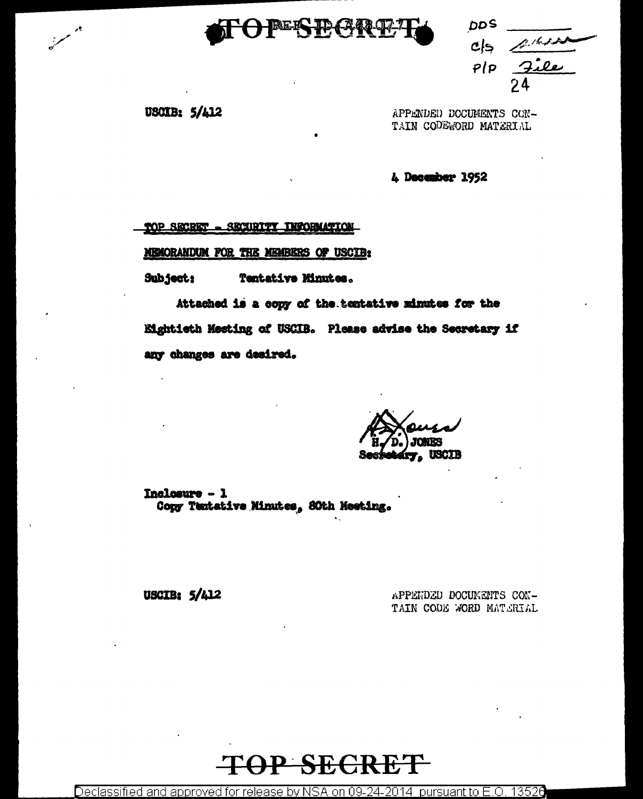# BEES ID CARRO

DDS.  $c/s$  $P$ |p

USCIB: 5/412

APPENDED DOCUMENTS CON-TAIN CODEWORD MATERIAL

4 December 1952

TOP SECRET - SECURITY INFORMATION

MEMORANDUM FOR THE MEMBERS OF USCIB:

Subject: Tentative Minutes.

Attached is a copy of the tentative minutes for the Eightieth Meeting of USCIB. Please advise the Secretary if any changes are desired.

Inclosure - 1 Copy Tentative Minutes, 80th Meeting.

**USCIB: 5/412** 

APPENDED DOCUMENTS CON-TAIN CODE WORD MATERIAL



Declassified and approved for release by NSA on 09-24-2014 pursuant to E.O. 13526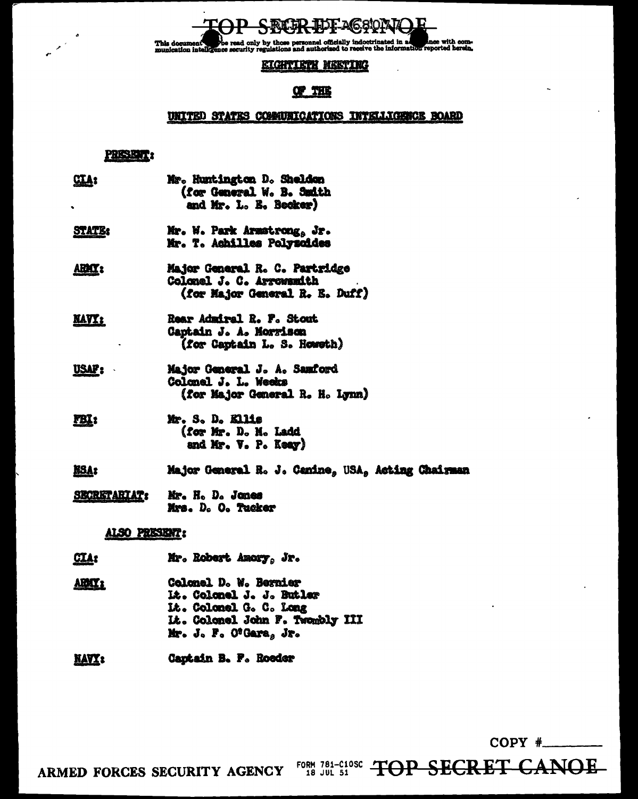This document the read only by those personnel officially indoctrinated in all since with com-<br>munication intelligence security regulations and authorized to receive the information reported herein.

## **EIGHTIETH MEETING**

## **QP THE**

## UNITED STATES COMMUNICATIONS INTELLIGENCE BOARD

#### PRISHER:

| <u>GTA:</u>         | Mr. Huntington D. Sheldon<br>(for General W. B. Smith<br>and Mr. L. E. Becker)              |
|---------------------|---------------------------------------------------------------------------------------------|
| <b>STATE:</b>       | Mr. W. Park Armstrong, Jr.<br>Mr. T. Achilles Polysoides                                    |
| ARMI':              | Major General R. C. Partridge<br>Colonel J. C. Arrowanith<br>(for Major General R. E. Duff) |
| <u>KAVZ :</u>       | <b>Rear Admiral R. F. Stout</b><br>Captain J. A. Morrison<br>(for Captain L. S. Howeth)     |
| <u>USAP:</u>        | Major General J. A. Samford<br>Colonel J. L. Weeks<br>(for Major General R. H. Lynn)        |
| <u>FBI</u> :        | Mr. S. D. Kllis<br>(for Mr. D. N. Ladd<br>and Mr. V. P. Keay)                               |
| <u>NSA:</u>         | Major General R. J. Canine, USA, Acting Chairman                                            |
| <b>SECRETARIAT:</b> | Mr. H. D. Jones<br>Mrs. D. O. Tucker                                                        |
| ALSO PRESENT:       |                                                                                             |
| <u>CLA:</u>         | Mr. Robert Amory, Jr.                                                                       |

Colonel D. W. Bernier ABMY: Lt. Colonel J. J. Butler Lt. Colonel G. C. Long It. Colonel John F. Twombly III Mr. J. F. O'Gara, Jr.

**NAVY:** Captain B. F. Roeder

 $COPY$   $\#$ 

ARMED FORCES SECURITY AGENCY FORM 781-C10SC TOP SECRET CANOE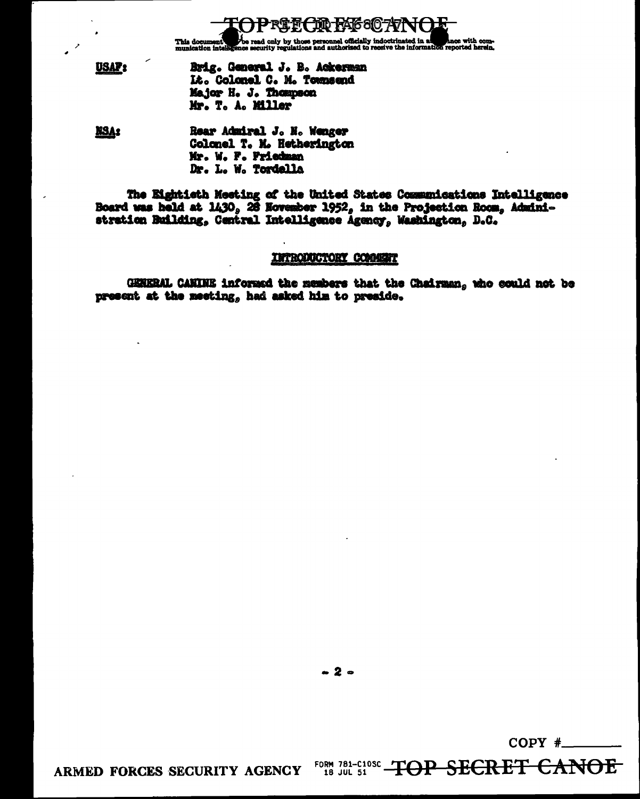**JUD PAIG810 747** ╊╊┽ This document the read only by those personnel officially indoctrinated in a local document one-<br>munication intelligence security regulations and authorized to receive the information reported herein.

**USAP**<sub>2</sub> Brig. General J. B. Ackerman Lt. Colonel C. M. Townsend Major H. J. Thompson Mr. T. A. Miller

Rear Admiral J. N. Wenger **NSA:** Colonel T. M. Hetherington Mr. W. F. Friedman Dr. L. W. Tordella

The Eightisth Mesting of the United States Communications Intelligence Board was held at  $1430$ , 26 November  $1952$ , in the Projection Room, Administration Building, Central Intelligence Agency, Washington, D.C.

#### INTRODUCTORY COMMENT

GENERAL CANINE informed the members that the Chairman, who could not be present at the meeting, had asked him to preside.

 $-2-$ 

 $COPY$  #

<del>CANOE</del>

ARMED FORCES SECURITY AGENCY

FORM 781-C10SC TOP SECRET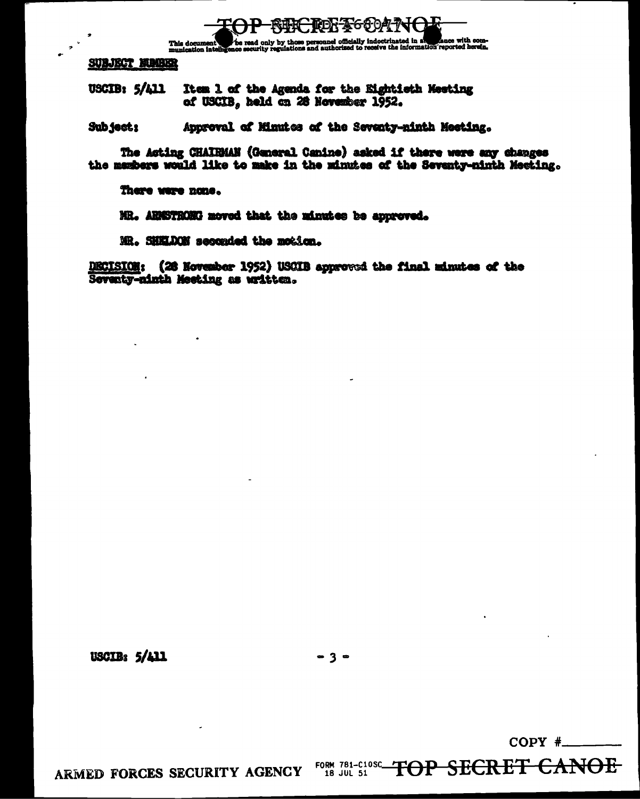

The read only by those personnel officially indoctrinated in a strate with com-<br>hoe security regulations and authorised to receive the information reported herein. This document

**SUBJECT MUMBER** 

USCIB: 5/A11 Item 1 of the Agenda for the Eightieth Meeting of USCIB, held on 28 November 1952.

Approval of Minutes of the Seventy-ninth Meeting. Sub ject!

The Acting CHAIRMAN (General Canine) asked if there were any changes the members would like to make in the minutes of the Seventy-ninth Meeting.

There were none.

MR. ARISTRONG moved that the minutes be approved.

MR. SHELDON seconded the motion.

DECISION: (28 November 1952) USCIB approved the final minutes of the Seventy-ninth Meeting as written.

USCIB:  $5/411$ 

 $-3-$ 

 $COPY$   $\#$ 

<del>CANOE</del>

ARMED FORCES SECURITY AGENCY

FORM 781-C10SC TOP SECRET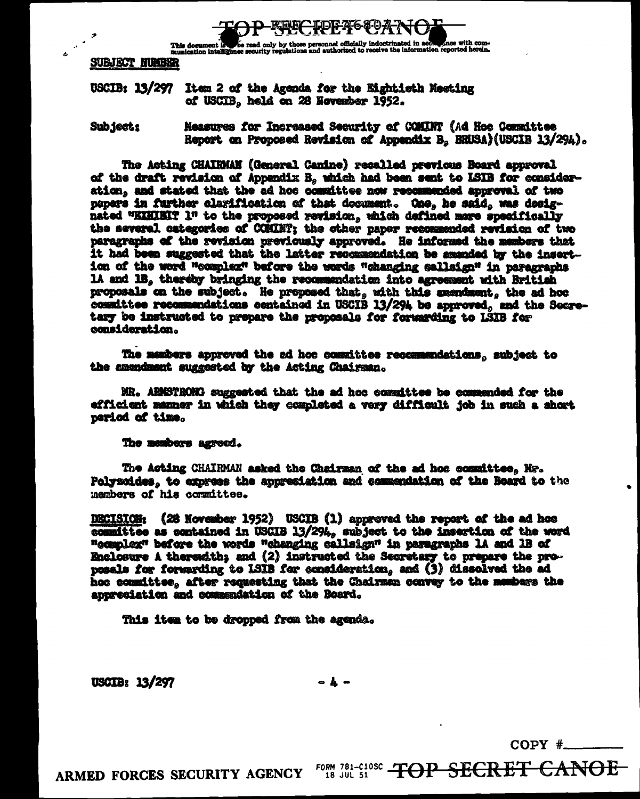

This document is so read only by those personnel officially indoctrinated in accompance with com-<br>munication intelligence security regulations and authorized to receive the information reported herein.

**SUBJECT NUMBER** 

### USCIB: 13/297 Item 2 of the Agenda for the Eightieth Meeting of USCIB, held on 28 November 1952.

Measures for Increased Security of COMINT (Ad Hoe Committee Sub ject: Report on Proposed Revision of Appendix B. BRUSA)(USCIB 13/294).

The Acting CHAIRMAN (General Canine) recalled previous Board approval of the draft revision of Appendix B, which had been sent to ISIB for consideration, and stated that the ad hos committee now recommended approval of two papers in further clarification of that document. One, he said, was designated "EXHIBIT 1" to the proposed revision, which defined mare specifically the several categories of COMINT; the other paper recommended revision of two paragraphs of the revision previously approved. He informed the members that it had been suggested that the latter recommendation be amended by the insertion of the word "complex" before the words "changing sallsign" in paragraphs 1A and 1B. thereby bringing the recommendation into agreement with British proposals on the subject. He proposed that, with this amendment, the ad hoc committee recommendations contained in USCIB 13/294 be approved, and the Secretary be instructed to prepare the proposals for forwarding to LSIB for consideration.

The members approved the ad hoc committee recommendations, subject to the amendment suggested by the Acting Chairman.

MR. ARMSTRONG suggested that the ad hoc committee be commended for the efficient manner in which they completed a very difficult job in such a short period of time.

#### The members agreed.

The Acting CHAIRMAN asked the Chairman of the ad hos committee. Nr. Polysoides, to express the appresistion and commendation of the Board to the members of his committee.

DECISION: (28 November 1952) USCIB (1) approved the report of the ad hos committee as contained in USCIB 13/294, subject to the insertion of the word "complex" before the words "changing callsign" in paragraphs lA and 1B of Enclosure A theresath; and (2) instructed the Secretary to prepare the propesals for forwarding to ISIB for consideration, and (3) dissolved the ad hoc committee, after requesting that the Chairman convey to the members the appresiation and commendation of the Board.

This item to be dropped from the agenda.

**USCIB: 13/297** 

- 1 -

 $COPY$   $\#$ 

ARMED FORCES SECURITY AGENCY

FORM 781-C10SC TOP SECRET CANOE 18 JUL 51